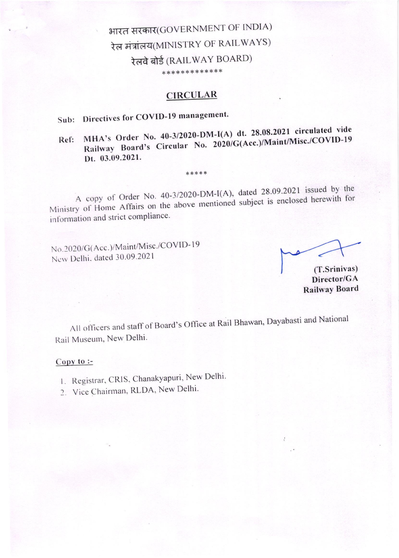# भारत सरकार(GOVERNMENT OF INDIA) रेल मंत्रांलय(MINISTRY OF RAILWAYS) रेलवे बोर्ड (RAILWAY BOARD) \*\*\*\*\*\*\*\*\*\*\*\*\*

## **CIRCULAR**

# Sub: Directives for COVID-19 management.

### MHA's Order No. 40-3/2020-DM-I(A) dt. 28.08.2021 circulated vide Railway Board's Circular No. 2020/G(Acc.)/Maint/Misc./COVID-19  $Ref:$ Dt. 03.09.2021.

A copy of Order No. 40-3/2020-DM-I(A), dated 28.09.2021 issued by the Ministry of Home Affairs on the above mentioned subject is enclosed herewith for information and strict compliance.

\*\*\*\*\*

No.2020/G(Acc.)/Maint/Misc./COVID-19 New Delhi, dated 30.09.2021

(T.Srinivas) Director/GA **Railway Board** 

All officers and staff of Board's Office at Rail Bhawan, Dayabasti and National Rail Museum, New Delhi.

#### Copy to  $\coloneq$

- 1. Registrar, CRIS, Chanakyapuri, New Delhi.
- 2. Vice Chairman, RLDA, New Delhi.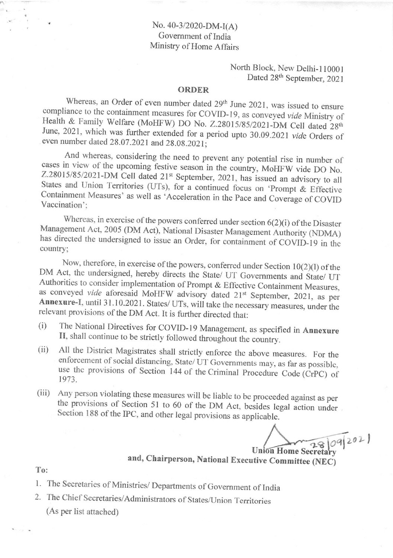### No. 40-3/2020-DM-I(A) Government of India Ministry of Home Affairs

North Block, New Delhi-110001 Dated 28th September, 2021

#### **ORDER**

Whereas, an Order of even number dated 29<sup>th</sup> June 2021, was issued to ensure compliance to the containment measures for COVID-19, as conveyed vide Ministry of Health & Family Welfare (MoHFW) DO No. Z.28015/85/2021-DM Cell dated 28th June, 2021, which was further extended for a period upto 30.09.2021 vide Orders of even number dated 28.07.2021 and 28.08.2021;

And whereas, considering the need to prevent any potential rise in number of cases in view of the upcoming festive season in the country, MoHFW vide DO No. Z.28015/85/2021-DM Cell dated 21st September, 2021, has issued an advisory to all States and Union Territories (UTs), for a continued focus on 'Prompt & Effective Containment Measures' as well as 'Acceleration in the Pace and Coverage of COVID Vaccination':

Whereas, in exercise of the powers conferred under section  $6(2)(i)$  of the Disaster Management Act, 2005 (DM Act), National Disaster Management Authority (NDMA) has directed the undersigned to issue an Order, for containment of COVID-19 in the country:

Now, therefore, in exercise of the powers, conferred under Section  $10(2)(1)$  of the DM Act, the undersigned, hereby directs the State/ UT Governments and State/ UT Authorities to consider implementation of Prompt & Effective Containment Measures, as conveyed vide aforesaid MoHFW advisory dated 21st September, 2021, as per Annexure-I, until 31.10.2021. States/ UTs, will take the necessary measures, under the relevant provisions of the DM Act. It is further directed that:

- The National Directives for COVID-19 Management, as specified in Annexure  $(i)$ II, shall continue to be strictly followed throughout the country.
- All the District Magistrates shall strictly enforce the above measures. For the  $(ii)$ enforcement of social distancing, State/UT Governments may, as far as possible, use the provisions of Section 144 of the Criminal Procedure Code (CrPC) of 1973.
- Any person violating these measures will be liable to be proceeded against as per  $(iii)$ the provisions of Section 51 to 60 of the DM Act, besides legal action under Section 188 of the IPC, and other legal provisions as applicable.

Union Home Secretary

and, Chairperson, National Executive Committee (NEC)

To:

1. The Secretaries of Ministries/ Departments of Government of India

2. The Chief Secretaries/Administrators of States/Union Territories (As per list attached)